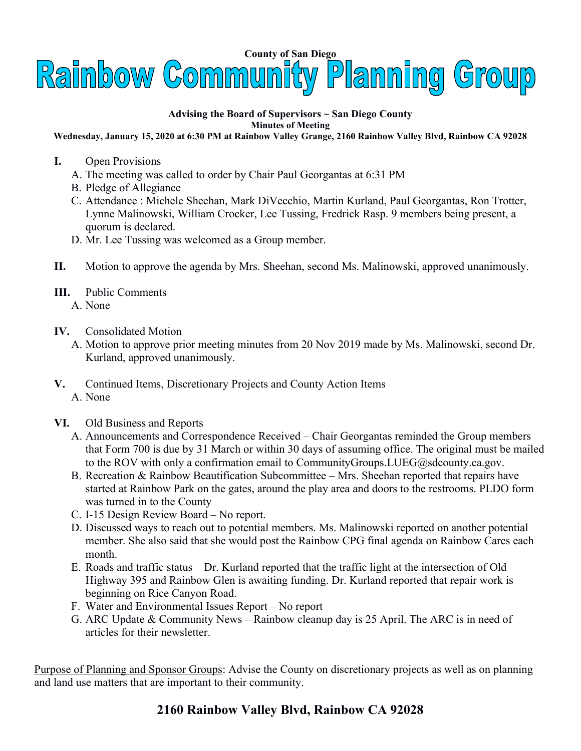

## **Advising the Board of Supervisors ~ San Diego County Minutes of Meeting**

## **Wednesday, January 15, 2020 at 6:30 PM at Rainbow Valley Grange, 2160 Rainbow Valley Blvd, Rainbow CA 92028**

- **I.** Open Provisions
	- A. The meeting was called to order by Chair Paul Georgantas at 6:31 PM
	- B. Pledge of Allegiance
	- C. Attendance : Michele Sheehan, Mark DiVecchio, Martin Kurland, Paul Georgantas, Ron Trotter, Lynne Malinowski, William Crocker, Lee Tussing, Fredrick Rasp. 9 members being present, a quorum is declared.
	- D. Mr. Lee Tussing was welcomed as a Group member.
- **II.** Motion to approve the agenda by Mrs. Sheehan, second Ms. Malinowski, approved unanimously.
- **III.** Public Comments
	- A. None
- **IV.** Consolidated Motion
	- A. Motion to approve prior meeting minutes from 20 Nov 2019 made by Ms. Malinowski, second Dr. Kurland, approved unanimously.
- **V.** Continued Items, Discretionary Projects and County Action Items A. None
- **VI.** Old Business and Reports
	- A. Announcements and Correspondence Received Chair Georgantas reminded the Group members that Form 700 is due by 31 March or within 30 days of assuming office. The original must be mailed to the ROV with only a confirmation email to CommunityGroups. LUEG@sdcounty.ca.gov.
	- B. Recreation & Rainbow Beautification Subcommittee Mrs. Sheehan reported that repairs have started at Rainbow Park on the gates, around the play area and doors to the restrooms. PLDO form was turned in to the County
	- C. I-15 Design Review Board No report.
	- D. Discussed ways to reach out to potential members. Ms. Malinowski reported on another potential member. She also said that she would post the Rainbow CPG final agenda on Rainbow Cares each month.
	- E. Roads and traffic status Dr. Kurland reported that the traffic light at the intersection of Old Highway 395 and Rainbow Glen is awaiting funding. Dr. Kurland reported that repair work is beginning on Rice Canyon Road.
	- F. Water and Environmental Issues Report No report
	- G. ARC Update & Community News Rainbow cleanup day is 25 April. The ARC is in need of articles for their newsletter.

Purpose of Planning and Sponsor Groups: Advise the County on discretionary projects as well as on planning and land use matters that are important to their community.

## **2160 Rainbow Valley Blvd, Rainbow CA 92028**